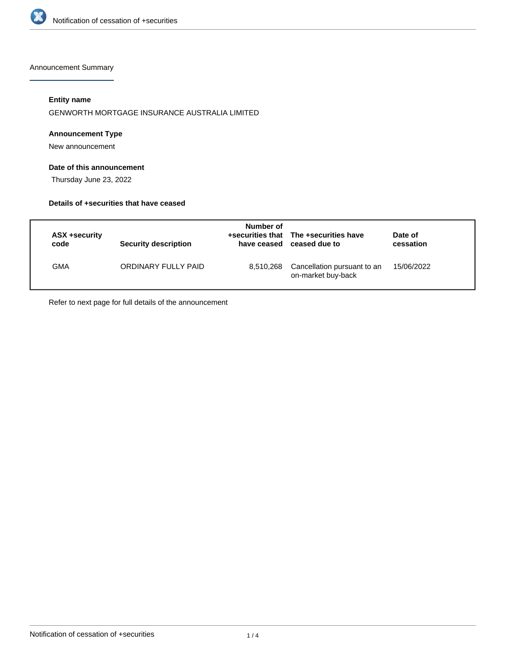

Announcement Summary

## **Entity name**

GENWORTH MORTGAGE INSURANCE AUSTRALIA LIMITED

#### **Announcement Type**

New announcement

## **Date of this announcement**

Thursday June 23, 2022

#### **Details of +securities that have ceased**

| ASX +security<br>code | Security description | Number of<br>have ceased | +securities that The +securities have<br>ceased due to | Date of<br>cessation |
|-----------------------|----------------------|--------------------------|--------------------------------------------------------|----------------------|
| GMA                   | ORDINARY FULLY PAID  | 8,510,268                | Cancellation pursuant to an<br>on-market buy-back      | 15/06/2022           |

Refer to next page for full details of the announcement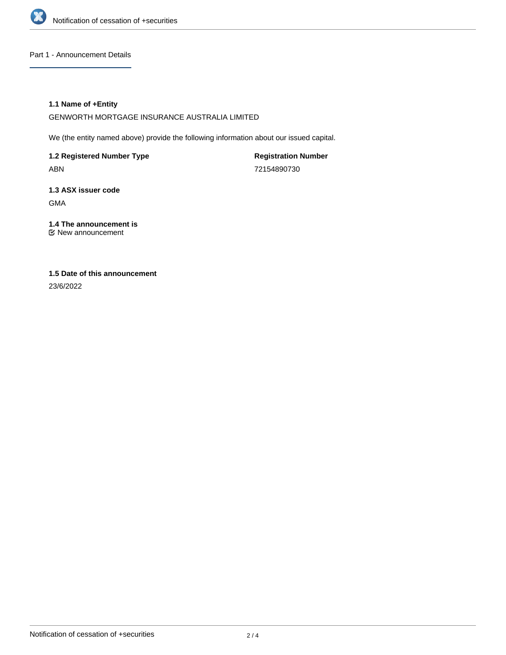

#### Part 1 - Announcement Details

#### **1.1 Name of +Entity**

GENWORTH MORTGAGE INSURANCE AUSTRALIA LIMITED

We (the entity named above) provide the following information about our issued capital.

**1.2 Registered Number Type** ABN

**Registration Number** 72154890730

**1.3 ASX issuer code** GMA

**1.4 The announcement is** New announcement

# **1.5 Date of this announcement**

23/6/2022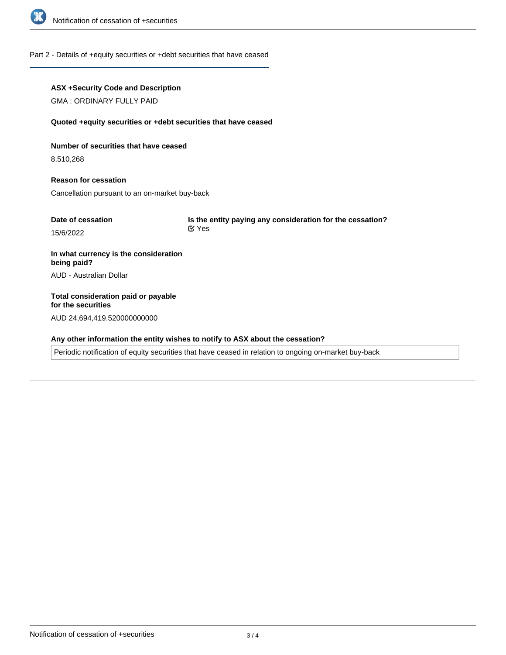

#### Part 2 - Details of +equity securities or +debt securities that have ceased

### **ASX +Security Code and Description**

GMA : ORDINARY FULLY PAID

#### **Quoted +equity securities or +debt securities that have ceased**

#### **Number of securities that have ceased**

8,510,268

# **Reason for cessation** Cancellation pursuant to an on-market buy-back

| Date of cessation | Is the entity paying any consideration for the cessation? |  |
|-------------------|-----------------------------------------------------------|--|
| 15/6/2022         | <b>⊠</b> Yes                                              |  |

## **In what currency is the consideration being paid?** AUD - Australian Dollar

# **Total consideration paid or payable for the securities** AUD 24,694,419.520000000000

#### **Any other information the entity wishes to notify to ASX about the cessation?**

Periodic notification of equity securities that have ceased in relation to ongoing on-market buy-back